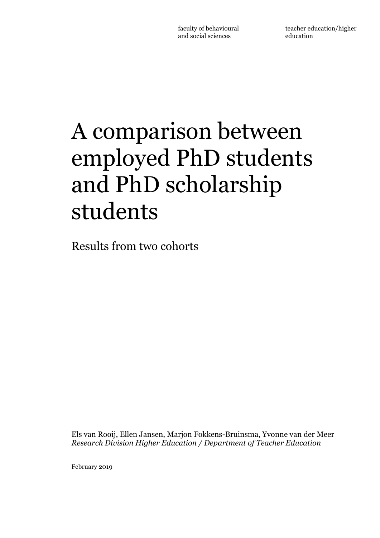# A comparison between employed PhD students and PhD scholarship students

Results from two cohorts

Els van Rooij, Ellen Jansen, Marjon Fokkens-Bruinsma, Yvonne van der Meer *Research Division Higher Education / Department of Teacher Education*

February 2019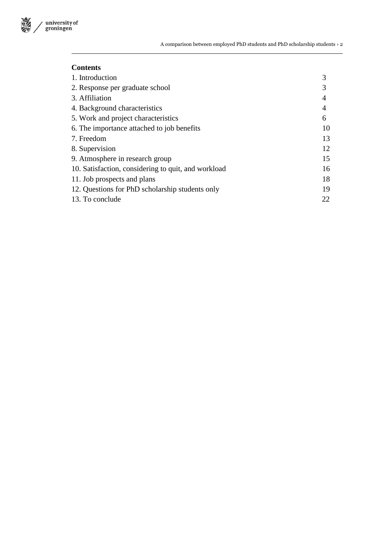

# **Contents**

| 1. Introduction                                     | 3  |
|-----------------------------------------------------|----|
| 2. Response per graduate school                     |    |
| 3. Affiliation                                      | 4  |
| 4. Background characteristics                       | 4  |
| 5. Work and project characteristics                 | 6  |
| 6. The importance attached to job benefits          | 10 |
| 7. Freedom                                          | 13 |
| 8. Supervision                                      | 12 |
| 9. Atmosphere in research group                     | 15 |
| 10. Satisfaction, considering to quit, and workload | 16 |
| 11. Job prospects and plans                         | 18 |
| 12. Questions for PhD scholarship students only     | 19 |
| 13. To conclude                                     | 22 |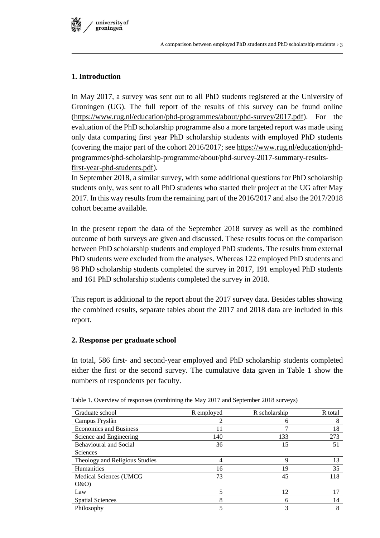

# **1. Introduction**

In May 2017, a survey was sent out to all PhD students registered at the University of Groningen (UG). The full report of the results of this survey can be found online [\(https://www.rug.nl/education/phd-programmes/about/phd-survey/2017.pdf\)](https://www.rug.nl/education/phd-programmes/about/phd-survey/2017.pdf). For the evaluation of the PhD scholarship programme also a more targeted report was made using only data comparing first year PhD scholarship students with employed PhD students (covering the major part of the cohort 2016/2017; see https://www.rug.nl/education/phdprogrammes/phd-scholarship-programme/about/phd-survey-2017-summary-resultsfirst-year-phd-students.pdf).

In September 2018, a similar survey, with some additional questions for PhD scholarship students only, was sent to all PhD students who started their project at the UG after May 2017. In this way results from the remaining part of the 2016/2017 and also the 2017/2018 cohort became available.

In the present report the data of the September 2018 survey as well as the combined outcome of both surveys are given and discussed. These results focus on the comparison between PhD scholarship students and employed PhD students. The results from external PhD students were excluded from the analyses. Whereas 122 employed PhD students and 98 PhD scholarship students completed the survey in 2017, 191 employed PhD students and 161 PhD scholarship students completed the survey in 2018.

This report is additional to the report about the 2017 survey data. Besides tables showing the combined results, separate tables about the 2017 and 2018 data are included in this report.

# **2. Response per graduate school**

In total, 586 first- and second-year employed and PhD scholarship students completed either the first or the second survey. The cumulative data given in Table 1 show the numbers of respondents per faculty.

| Graduate school                | R employed | R scholarship | R total |
|--------------------------------|------------|---------------|---------|
| Campus Fryslân                 |            | 6             | 8       |
| <b>Economics and Business</b>  | 11         |               | 18      |
| Science and Engineering        | 140        | 133           | 273     |
| <b>Behavioural and Social</b>  | 36         | 15            | 51      |
| <b>Sciences</b>                |            |               |         |
| Theology and Religious Studies | 4          | 9             | 13      |
| <b>Humanities</b>              | 16         | 19            | 35      |
| Medical Sciences (UMCG)        | 73         | 45            | 118     |
| O&O                            |            |               |         |
| Law                            | 5          | 12            | 17      |
| <b>Spatial Sciences</b>        | 8          | 6             | 14      |
| Philosophy                     | 5          | 3             | 8       |

Table 1. Overview of responses (combining the May 2017 and September 2018 surveys)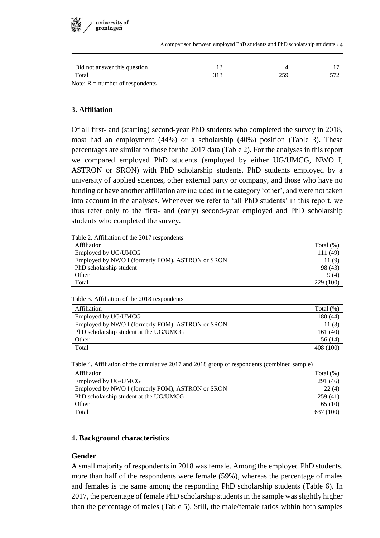

A comparison between employed PhD students and PhD scholarship students › 4

| Did not answer this question                     | . .   |           |  |
|--------------------------------------------------|-------|-----------|--|
| Total                                            | ر د ر | າ ເດ<br>ت |  |
| $\mathbf{M}$ $\mathbf{R}$<br>$\sim$ 1 c 1 $\sim$ |       |           |  |

Note:  $R =$  number of respondents

# **3. Affiliation**

Of all first- and (starting) second-year PhD students who completed the survey in 2018, most had an employment (44%) or a scholarship (40%) position (Table 3). These percentages are similar to those for the 2017 data (Table 2). For the analyses in this report we compared employed PhD students (employed by either UG/UMCG, NWO I, ASTRON or SRON) with PhD scholarship students. PhD students employed by a university of applied sciences, other external party or company, and those who have no funding or have another affiliation are included in the category 'other', and were not taken into account in the analyses. Whenever we refer to 'all PhD students' in this report, we thus refer only to the first- and (early) second-year employed and PhD scholarship students who completed the survey.

Table 2. Affiliation of the 2017 respondents

| Affiliation                                      | Total $(\%)$ |
|--------------------------------------------------|--------------|
| Employed by UG/UMCG                              | 111 (49)     |
| Employed by NWO I (formerly FOM), ASTRON or SRON | 11(9)        |
| PhD scholarship student                          | 98 (43)      |
| Other                                            | 9(4)         |
| Total                                            | 229 (100)    |

Table 3. Affiliation of the 2018 respondents

| Affiliation                                      | Total $(\%)$ |
|--------------------------------------------------|--------------|
| Employed by UG/UMCG                              | 180(44)      |
| Employed by NWO I (formerly FOM), ASTRON or SRON | 11(3)        |
| PhD scholarship student at the UG/UMCG           | 161(40)      |
| Other                                            | 56 (14)      |
| Total                                            | 408 (100)    |

Table 4. Affiliation of the cumulative 2017 and 2018 group of respondents (combined sample)

| Affiliation                                      | Total $(\%)$ |
|--------------------------------------------------|--------------|
| Employed by UG/UMCG                              | 291 (46)     |
| Employed by NWO I (formerly FOM), ASTRON or SRON | 22(4)        |
| PhD scholarship student at the UG/UMCG           | 259(41)      |
| Other                                            | 65 (10)      |
| Total                                            | 637 (100)    |

#### **4. Background characteristics**

#### **Gender**

A small majority of respondents in 2018 was female. Among the employed PhD students, more than half of the respondents were female (59%), whereas the percentage of males and females is the same among the responding PhD scholarship students (Table 6). In 2017, the percentage of female PhD scholarship students in the sample was slightly higher than the percentage of males (Table 5). Still, the male/female ratios within both samples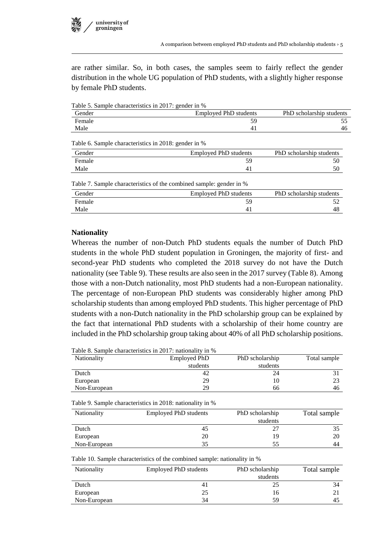

are rather similar. So, in both cases, the samples seem to fairly reflect the gender distribution in the whole UG population of PhD students, with a slightly higher response by female PhD students.

Table 5. Sample characteristics in 2017: gender in %

| Gender | <b>Employed PhD students</b> | PhD scholarship students |
|--------|------------------------------|--------------------------|
| Female |                              |                          |
| Male   |                              | 46                       |

Table 6. Sample characteristics in 2018: gender in %

| Gender | Employed PhD students | PhD scholarship students |
|--------|-----------------------|--------------------------|
| Female |                       |                          |
| Male   | 4.                    |                          |

Table 7. Sample characteristics of the combined sample: gender in %

| Gender | <b>Employed PhD students</b> | PhD scholarship students |
|--------|------------------------------|--------------------------|
| Female |                              |                          |
| Male   |                              |                          |

#### **Nationality**

Whereas the number of non-Dutch PhD students equals the number of Dutch PhD students in the whole PhD student population in Groningen, the majority of first- and second-year PhD students who completed the 2018 survey do not have the Dutch nationality (see Table 9). These results are also seen in the 2017 survey (Table 8). Among those with a non-Dutch nationality, most PhD students had a non-European nationality. The percentage of non-European PhD students was considerably higher among PhD scholarship students than among employed PhD students. This higher percentage of PhD students with a non-Dutch nationality in the PhD scholarship group can be explained by the fact that international PhD students with a scholarship of their home country are included in the PhD scholarship group taking about 40% of all PhD scholarship positions.

Table 8. Sample characteristics in 2017: nationality in %

| <b>Nationality</b> | Employed PhD | PhD scholarship | Total sample |
|--------------------|--------------|-----------------|--------------|
|                    | students     | students        |              |
| Dutch              | 42           | 24              |              |
| European           | 29           | 10              |              |
| Non-European       | 29           | 66              | 46           |

Table 9. Sample characteristics in 2018: nationality in %

| <b>Nationality</b> | Employed PhD students | PhD scholarship | Total sample |
|--------------------|-----------------------|-----------------|--------------|
|                    |                       | students        |              |
| Dutch              | 45                    |                 |              |
| European           | 20                    | 19              | 20           |
| Non-European       | 35                    | 55              | 44           |

Table 10. Sample characteristics of the combined sample: nationality in %

| <b>Nationality</b> | Employed PhD students | PhD scholarship | Total sample |
|--------------------|-----------------------|-----------------|--------------|
|                    |                       | students        |              |
| Dutch              | 4 <sub>1</sub>        | 25              | 34           |
| European           | 25                    | 16              |              |
| Non-European       | 34                    | 59              | 45           |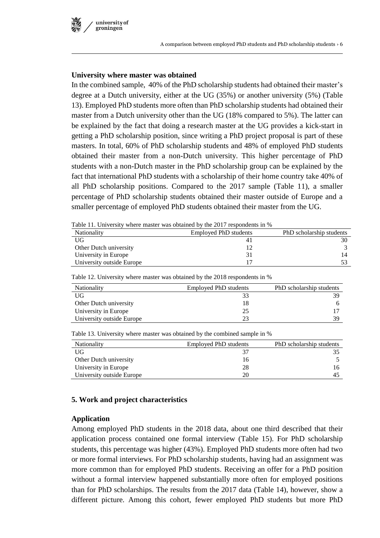# **University where master was obtained**

In the combined sample, 40% of the PhD scholarship students had obtained their master's degree at a Dutch university, either at the UG (35%) or another university (5%) (Table 13). Employed PhD students more often than PhD scholarship students had obtained their master from a Dutch university other than the UG (18% compared to 5%). The latter can be explained by the fact that doing a research master at the UG provides a kick-start in getting a PhD scholarship position, since writing a PhD project proposal is part of these masters. In total, 60% of PhD scholarship students and 48% of employed PhD students obtained their master from a non-Dutch university. This higher percentage of PhD students with a non-Dutch master in the PhD scholarship group can be explained by the fact that international PhD students with a scholarship of their home country take 40% of all PhD scholarship positions. Compared to the 2017 sample (Table 11), a smaller percentage of PhD scholarship students obtained their master outside of Europe and a smaller percentage of employed PhD students obtained their master from the UG.

Table 11. University where master was obtained by the 2017 respondents in %

| <b>Nationality</b>        | Employed PhD students | PhD scholarship students |
|---------------------------|-----------------------|--------------------------|
| UG                        |                       |                          |
| Other Dutch university    |                       |                          |
| University in Europe      |                       | 14                       |
| University outside Europe |                       |                          |

Table 12. University where master was obtained by the 2018 respondents in %

| <b>Nationality</b>        | Employed PhD students | PhD scholarship students |
|---------------------------|-----------------------|--------------------------|
| UG                        |                       | 39                       |
| Other Dutch university    | 18                    |                          |
| University in Europe      | 25                    |                          |
| University outside Europe | つっ                    | 39                       |

Table 13. University where master was obtained by the combined sample in %

| <b>Nationality</b>        | <b>Employed PhD students</b> | PhD scholarship students |
|---------------------------|------------------------------|--------------------------|
| UG                        |                              |                          |
| Other Dutch university    | 16                           |                          |
| University in Europe      | 28                           |                          |
| University outside Europe | 20                           |                          |

# **5. Work and project characteristics**

#### **Application**

Among employed PhD students in the 2018 data, about one third described that their application process contained one formal interview (Table 15). For PhD scholarship students, this percentage was higher (43%). Employed PhD students more often had two or more formal interviews. For PhD scholarship students, having had an assignment was more common than for employed PhD students. Receiving an offer for a PhD position without a formal interview happened substantially more often for employed positions than for PhD scholarships. The results from the 2017 data (Table 14), however, show a different picture. Among this cohort, fewer employed PhD students but more PhD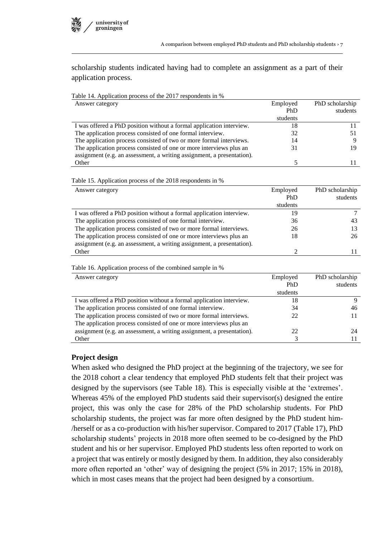scholarship students indicated having had to complete an assignment as a part of their application process.

| Table 14. Application process of the 2017 respondents in %             |                |                 |
|------------------------------------------------------------------------|----------------|-----------------|
| Answer category                                                        | Employed       | PhD scholarship |
|                                                                        | PhD            | students        |
|                                                                        | students       |                 |
| I was offered a PhD position without a formal application interview.   | 18             | 11              |
| The application process consisted of one formal interview.             | 32             | 51              |
| The application process consisted of two or more formal interviews.    | 14             | 9               |
| The application process consisted of one or more interviews plus an    | 31             | 19              |
| assignment (e.g. an assessment, a writing assignment, a presentation). |                |                 |
| Other                                                                  | 5              | 11              |
|                                                                        |                |                 |
| Table 15. Application process of the 2018 respondents in %             |                |                 |
| Answer category                                                        | Employed       | PhD scholarship |
|                                                                        | PhD            | students        |
|                                                                        | students       |                 |
| I was offered a PhD position without a formal application interview.   | 19             | $\tau$          |
| The application process consisted of one formal interview.             | 36             | 43              |
| The application process consisted of two or more formal interviews.    | 26             | 13              |
| The application process consisted of one or more interviews plus an    | 18             | 26              |
| assignment (e.g. an assessment, a writing assignment, a presentation). |                |                 |
| Other                                                                  | $\overline{2}$ | 11              |
|                                                                        |                |                 |
| Table 16. Application process of the combined sample in %              |                |                 |
| Answer category                                                        | Employed       | PhD scholarship |
|                                                                        | PhD            | students        |
|                                                                        | students       |                 |
| I was offered a PhD position without a formal application interview.   | 18             | 9               |
| The application process consisted of one formal interview.             | 34             | 46              |
| The application process consisted of two or more formal interviews.    | 22             | 11              |
| The application process consisted of one or more interviews plus an    |                |                 |

assignment (e.g. an assessment, a writing assignment, a presentation). 22 24 24 Other 3 11

#### **Project design**

When asked who designed the PhD project at the beginning of the trajectory, we see for the 2018 cohort a clear tendency that employed PhD students felt that their project was designed by the supervisors (see Table 18). This is especially visible at the 'extremes'. Whereas 45% of the employed PhD students said their supervisor(s) designed the entire project, this was only the case for 28% of the PhD scholarship students. For PhD scholarship students, the project was far more often designed by the PhD student him- /herself or as a co-production with his/her supervisor. Compared to 2017 (Table 17), PhD scholarship students' projects in 2018 more often seemed to be co-designed by the PhD student and his or her supervisor. Employed PhD students less often reported to work on a project that was entirely or mostly designed by them. In addition, they also considerably more often reported an 'other' way of designing the project (5% in 2017; 15% in 2018), which in most cases means that the project had been designed by a consortium.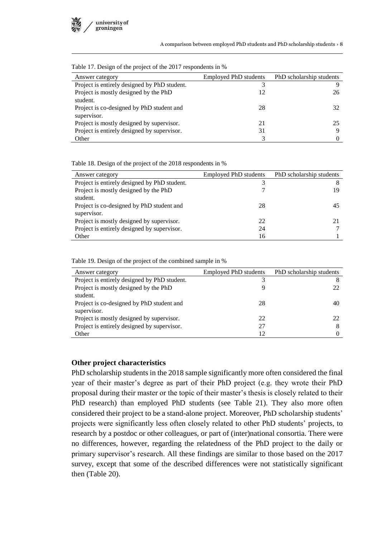| Answer category                              | <b>Employed PhD students</b> | PhD scholarship students |
|----------------------------------------------|------------------------------|--------------------------|
| Project is entirely designed by PhD student. |                              |                          |
| Project is mostly designed by the PhD        | 12                           | 26                       |
| student.                                     |                              |                          |
| Project is co-designed by PhD student and    | 28                           | 32                       |
| supervisor.                                  |                              |                          |
| Project is mostly designed by supervisor.    | 21                           | 25                       |
| Project is entirely designed by supervisor.  | 31                           |                          |
| Other                                        |                              |                          |

Table 17. Design of the project of the 2017 respondents in %

Table 18. Design of the project of the 2018 respondents in %

| Answer category                              | <b>Employed PhD students</b> | PhD scholarship students |
|----------------------------------------------|------------------------------|--------------------------|
| Project is entirely designed by PhD student. |                              |                          |
| Project is mostly designed by the PhD        |                              | 19                       |
| student.                                     |                              |                          |
| Project is co-designed by PhD student and    | 28                           | 45                       |
| supervisor.                                  |                              |                          |
| Project is mostly designed by supervisor.    | 22                           |                          |
| Project is entirely designed by supervisor.  | 24                           |                          |
| Other                                        | 16                           |                          |

Table 19. Design of the project of the combined sample in %

| Answer category                              | <b>Employed PhD students</b> | PhD scholarship students |
|----------------------------------------------|------------------------------|--------------------------|
| Project is entirely designed by PhD student. |                              |                          |
| Project is mostly designed by the PhD        |                              |                          |
| student.                                     |                              |                          |
| Project is co-designed by PhD student and    | 28                           | 40                       |
| supervisor.                                  |                              |                          |
| Project is mostly designed by supervisor.    | 22                           | 22                       |
| Project is entirely designed by supervisor.  | 27                           | 8                        |
| Other                                        | 12                           |                          |

#### **Other project characteristics**

PhD scholarship students in the 2018 sample significantly more often considered the final year of their master's degree as part of their PhD project (e.g. they wrote their PhD proposal during their master or the topic of their master's thesis is closely related to their PhD research) than employed PhD students (see Table 21). They also more often considered their project to be a stand-alone project. Moreover, PhD scholarship students' projects were significantly less often closely related to other PhD students' projects, to research by a postdoc or other colleagues, or part of (inter)national consortia. There were no differences, however, regarding the relatedness of the PhD project to the daily or primary supervisor's research. All these findings are similar to those based on the 2017 survey, except that some of the described differences were not statistically significant then (Table 20).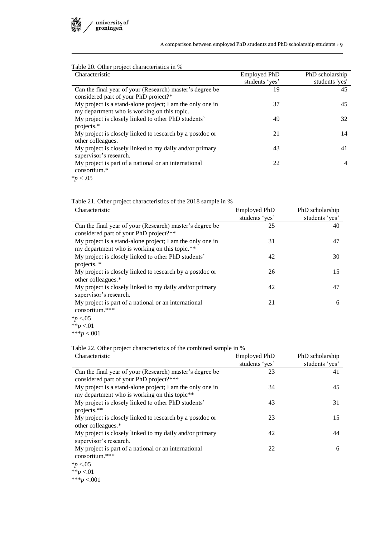

A comparison between employed PhD students and PhD scholarship students › 9

| Table 20. Other project characteristics in %              |                     |                 |
|-----------------------------------------------------------|---------------------|-----------------|
| Characteristic                                            | <b>Employed PhD</b> | PhD scholarship |
|                                                           | students 'yes'      | students 'yes'  |
| Can the final year of your (Research) master's degree be  | 19                  | 45              |
| considered part of your PhD project?*                     |                     |                 |
| My project is a stand-alone project; I am the only one in | 37                  | 45              |
| my department who is working on this topic.               |                     |                 |
| My project is closely linked to other PhD students'       | 49                  | 32              |
| projects.*                                                |                     |                 |
| My project is closely linked to research by a postdoc or  | 21                  | 14              |
| other colleagues.                                         |                     |                 |
| My project is closely linked to my daily and/or primary   | 43                  | 41              |
| supervisor's research.                                    |                     |                 |
| My project is part of a national or an international      | 22                  | 4               |
| consortium.*                                              |                     |                 |
| $\sim$ $\sim$ $\sim$                                      |                     |                 |

 $p < .05$ 

#### Table 21. Other project characteristics of the 2018 sample in %

| Characteristic                                                                                      | <b>Employed PhD</b> | PhD scholarship |
|-----------------------------------------------------------------------------------------------------|---------------------|-----------------|
|                                                                                                     | students 'yes'      | students 'yes'  |
| Can the final year of your (Research) master's degree be                                            | 25                  | 40              |
| considered part of your PhD project?**<br>My project is a stand-alone project; I am the only one in | 31                  | 47              |
| my department who is working on this topic.**                                                       |                     |                 |
| My project is closely linked to other PhD students'                                                 | 42                  | 30              |
| projects. *                                                                                         |                     |                 |
| My project is closely linked to research by a postdoc or<br>other colleagues.*                      | 26                  | 15              |
| My project is closely linked to my daily and/or primary<br>supervisor's research.                   | 42                  | 47              |
| My project is part of a national or an international<br>consortium.***                              | 21                  | 6               |
| $\approx -0.5$                                                                                      |                     |                 |

\**p* <.05 \*\**p* <.01

\*\*\**p* <.001

Table 22. Other project characteristics of the combined sample in %

| Characteristic                                            | <b>Employed PhD</b> | PhD scholarship |
|-----------------------------------------------------------|---------------------|-----------------|
|                                                           | students 'yes'      | students 'yes'  |
| Can the final year of your (Research) master's degree be  | 23                  | 41              |
| considered part of your PhD project?***                   |                     |                 |
| My project is a stand-alone project; I am the only one in | 34                  | 45              |
| my department who is working on this topic**              |                     |                 |
| My project is closely linked to other PhD students'       | 43                  | 31              |
| projects.**                                               |                     |                 |
| My project is closely linked to research by a postdoc or  | 23                  | 15              |
| other colleagues.*                                        |                     |                 |
| My project is closely linked to my daily and/or primary   | 42                  | 44              |
| supervisor's research.                                    |                     |                 |
| My project is part of a national or an international      | 22                  | 6               |
| consortium.***                                            |                     |                 |
| $*_{n}$ $\geq$ 0.5                                        |                     |                 |

\**p* <.05

\*\**p* <.01 \*\*\**p* <.001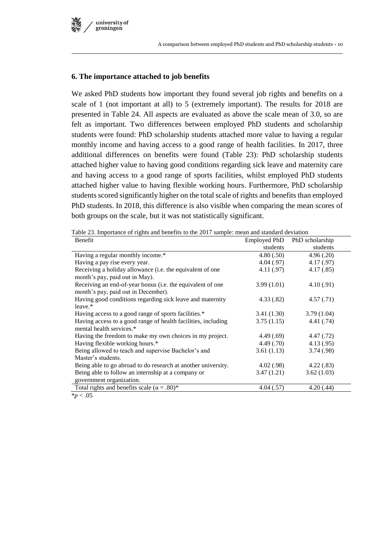

## **6. The importance attached to job benefits**

We asked PhD students how important they found several job rights and benefits on a scale of 1 (not important at all) to 5 (extremely important). The results for 2018 are presented in Table 24. All aspects are evaluated as above the scale mean of 3.0, so are felt as important. Two differences between employed PhD students and scholarship students were found: PhD scholarship students attached more value to having a regular monthly income and having access to a good range of health facilities. In 2017, three additional differences on benefits were found (Table 23): PhD scholarship students attached higher value to having good conditions regarding sick leave and maternity care and having access to a good range of sports facilities, whilst employed PhD students attached higher value to having flexible working hours. Furthermore, PhD scholarship students scored significantly higher on the total scale of rights and benefits than employed PhD students. In 2018, this difference is also visible when comparing the mean scores of both groups on the scale, but it was not statistically significant.

| racio 25. Importance or rights and centerits to the 2017 sample. Incan and standard deviation<br>Benefit | Employed PhD | PhD scholarship |
|----------------------------------------------------------------------------------------------------------|--------------|-----------------|
|                                                                                                          | students     | students        |
| Having a regular monthly income.*                                                                        | 4.80(.50)    | 4.96(.20)       |
| Having a pay rise every year.                                                                            | 4.04 (.97)   | 4.17(0.97)      |
| Receiving a holiday allowance (i.e. the equivalent of one                                                | 4.11(.97)    | 4.17(.85)       |
| month's pay, paid out in May).                                                                           |              |                 |
| Receiving an end-of-year bonus (i.e. the equivalent of one                                               | 3.99(1.01)   | 4.10(0.91)      |
| month's pay, paid out in December).                                                                      |              |                 |
| Having good conditions regarding sick leave and maternity                                                | 4.33(.82)    | 4.57(.71)       |
| leave.*                                                                                                  |              |                 |
| Having access to a good range of sports facilities.*                                                     | 3.41(1.30)   | 3.79(1.04)      |
| Having access to a good range of health facilities, including                                            | 3.75(1.15)   | 4.41(.74)       |
| mental health services.*                                                                                 |              |                 |
| Having the freedom to make my own choices in my project.                                                 | 4.49(.69)    | 4.47(0.72)      |
| Having flexible working hours.*                                                                          | 4.49(0.70)   | 4.13(0.95)      |
| Being allowed to teach and supervise Bachelor's and                                                      | 3.61(1.13)   | 3.74(.98)       |
| Master's students.                                                                                       |              |                 |
| Being able to go abroad to do research at another university.                                            | 4.02(.98)    | 4.22(.83)       |
| Being able to follow an internship at a company or                                                       | 3.47(1.21)   | 3.62(1.03)      |
| government organization.                                                                                 |              |                 |
| Total rights and benefits scale ( $\alpha = .80$ )*                                                      | 4.04(.57)    | 4.20(.44)       |
| $*p < .05$                                                                                               |              |                 |

Table 23. Importance of rights and benefits to the 2017 sample: mean and standard deviation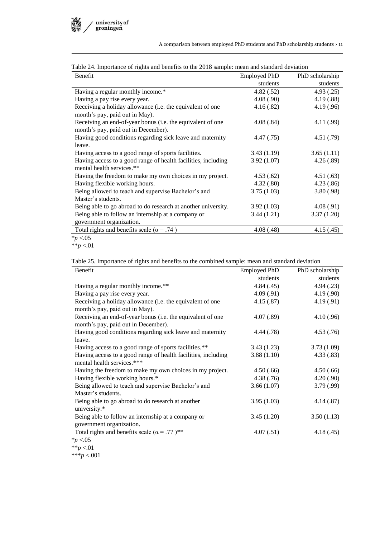

| Benefit                                                                                           | <b>Employed PhD</b> | PhD scholarship |
|---------------------------------------------------------------------------------------------------|---------------------|-----------------|
|                                                                                                   | students            | students        |
| Having a regular monthly income.*                                                                 | 4.82(.52)           | 4.93(.25)       |
| Having a pay rise every year.                                                                     | 4.08(.90)           | 4.19(.88)       |
| Receiving a holiday allowance (i.e. the equivalent of one<br>month's pay, paid out in May).       | 4.16(.82)           | 4.19(0.96)      |
| Receiving an end-of-year bonus (i.e. the equivalent of one<br>month's pay, paid out in December). | 4.08(.84)           | 4.11(.99)       |
| Having good conditions regarding sick leave and maternity<br>leave.                               | 4.47(0.75)          | 4.51(.79)       |
| Having access to a good range of sports facilities.                                               | 3.43(1.19)          | 3.65(1.11)      |
| Having access to a good range of health facilities, including<br>mental health services.**        | 3.92(1.07)          | 4.26(.89)       |
| Having the freedom to make my own choices in my project.                                          | 4.53(.62)           | 4.51(.63)       |
| Having flexible working hours.                                                                    | 4.32(.80)           | 4.23(.86)       |
| Being allowed to teach and supervise Bachelor's and                                               | 3.75(1.03)          | 3.80(.98)       |
| Master's students.                                                                                |                     |                 |
| Being able to go abroad to do research at another university.                                     | 3.92(1.03)          | 4.08(.91)       |
| Being able to follow an internship at a company or                                                | 3.44(1.21)          | 3.37(1.20)      |
| government organization.                                                                          |                     |                 |
| Total rights and benefits scale ( $\alpha$ = .74)                                                 | 4.08(.48)           | 4.15(.45)       |

Table 24. Importance of rights and benefits to the 2018 sample: mean and standard deviation

\**p* <.05

Table 25. Importance of rights and benefits to the combined sample: mean and standard deviation

| Benefit                                                         | <b>Employed PhD</b> | PhD scholarship |
|-----------------------------------------------------------------|---------------------|-----------------|
|                                                                 | students            | students        |
| Having a regular monthly income.**                              | 4.84(.45)           | 4.94(.23)       |
| Having a pay rise every year.                                   | 4.09(.91)           | 4.19(.90)       |
| Receiving a holiday allowance (i.e. the equivalent of one       | 4.15(.87)           | 4.19(0.91)      |
| month's pay, paid out in May).                                  |                     |                 |
| Receiving an end-of-year bonus (i.e. the equivalent of one      | 4.07(.89)           | 4.10(0.96)      |
| month's pay, paid out in December).                             |                     |                 |
| Having good conditions regarding sick leave and maternity       | 4.44 (.78)          | 4.53(.76)       |
| leave.                                                          |                     |                 |
| Having access to a good range of sports facilities.**           | 3.43(1.23)          | 3.73(1.09)      |
| Having access to a good range of health facilities, including   | 3.88(1.10)          | 4.33(.83)       |
| mental health services.***                                      |                     |                 |
| Having the freedom to make my own choices in my project.        | 4.50(.66)           | 4.50(.66)       |
| Having flexible working hours.*                                 | 4.38(.76)           | 4.20(.90)       |
| Being allowed to teach and supervise Bachelor's and             | 3.66(1.07)          | 3.79(.99)       |
| Master's students.                                              |                     |                 |
| Being able to go abroad to do research at another               | 3.95(1.03)          | 4.14(0.87)      |
| university.*                                                    |                     |                 |
| Being able to follow an internship at a company or              | 3.45(1.20)          | 3.50(1.13)      |
| government organization.                                        |                     |                 |
| Total rights and benefits scale ( $\alpha$ = .77) <sup>**</sup> | 4.07(.51)           | 4.18(0.45)      |

<sup>\*</sup>*p* <.05

\*\*\**p* <.001

<sup>\*\*</sup>*p* <.01

<sup>\*\*</sup>*p* <.01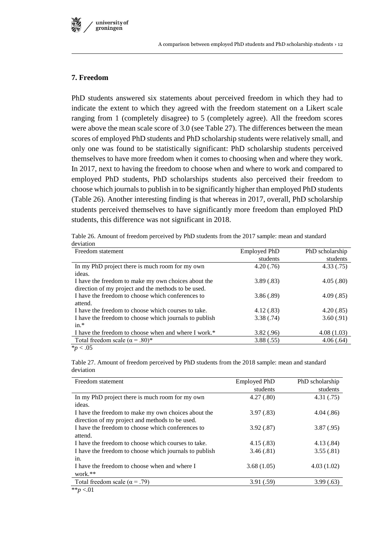

## **7. Freedom**

PhD students answered six statements about perceived freedom in which they had to indicate the extent to which they agreed with the freedom statement on a Likert scale ranging from 1 (completely disagree) to 5 (completely agree). All the freedom scores were above the mean scale score of 3.0 (see Table 27). The differences between the mean scores of employed PhD students and PhD scholarship students were relatively small, and only one was found to be statistically significant: PhD scholarship students perceived themselves to have more freedom when it comes to choosing when and where they work. In 2017, next to having the freedom to choose when and where to work and compared to employed PhD students, PhD scholarships students also perceived their freedom to choose which journals to publish in to be significantly higher than employed PhD students (Table 26). Another interesting finding is that whereas in 2017, overall, PhD scholarship students perceived themselves to have significantly more freedom than employed PhD students, this difference was not significant in 2018.

Table 26. Amount of freedom perceived by PhD students from the 2017 sample: mean and standard deviation

| Freedom statement                                      | <b>Employed PhD</b> | PhD scholarship |
|--------------------------------------------------------|---------------------|-----------------|
|                                                        | students            | students        |
| In my PhD project there is much room for my own        | 4.20(.76)           | 4.33(.75)       |
| ideas.                                                 |                     |                 |
| I have the freedom to make my own choices about the    | 3.89(.83)           | 4.05(.80)       |
| direction of my project and the methods to be used.    |                     |                 |
| I have the freedom to choose which conferences to      | 3.86(.89)           | 4.09(.85)       |
| attend.                                                |                     |                 |
| I have the freedom to choose which courses to take.    | 4.12(.83)           | 4.20(.85)       |
| I have the freedom to choose which journals to publish | 3.38(.74)           | 3.60(.91)       |
| $in.*$                                                 |                     |                 |
| I have the freedom to choose when and where I work.*   | 3.82(.96)           | 4.08(1.03)      |
| Total freedom scale ( $\alpha$ = .80)*                 | 3.88(.55)           | 4.06(.64)       |
| $\sim$ $\sim$ $\sim$                                   |                     |                 |

\**p* < .05

Table 27. Amount of freedom perceived by PhD students from the 2018 sample: mean and standard deviation

| Freedom statement                                      | <b>Employed PhD</b> | PhD scholarship |
|--------------------------------------------------------|---------------------|-----------------|
|                                                        | students            | students        |
| In my PhD project there is much room for my own        | 4.27(.80)           | 4.31(.75)       |
| ideas.                                                 |                     |                 |
| I have the freedom to make my own choices about the    | 3.97(.83)           | 4.04(.86)       |
| direction of my project and methods to be used.        |                     |                 |
| I have the freedom to choose which conferences to      | 3.92(.87)           | 3.87(.95)       |
| attend.                                                |                     |                 |
| I have the freedom to choose which courses to take.    | 4.15(.83)           | 4.13(.84)       |
| I have the freedom to choose which journals to publish | 3.46(.81)           | 3.55(.81)       |
| in.                                                    |                     |                 |
| I have the freedom to choose when and where I          | 3.68(1.05)          | 4.03(1.02)      |
| work. $**$                                             |                     |                 |
| Total freedom scale ( $\alpha$ = .79)                  | 3.91(.59)           | 3.99(.63)       |
| $\cdots$                                               |                     |                 |

\*\**p* <.01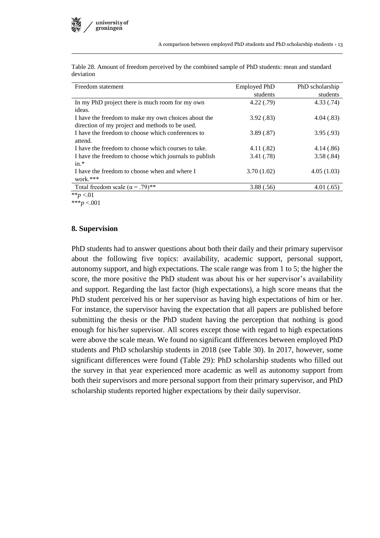| icviation                                              |                     |                 |
|--------------------------------------------------------|---------------------|-----------------|
| Freedom statement                                      | <b>Employed PhD</b> | PhD scholarship |
|                                                        | students            | students        |
| In my PhD project there is much room for my own        | 4.22(0.79)          | 4.33(.74)       |
| ideas.                                                 |                     |                 |
| I have the freedom to make my own choices about the    | 3.92(.83)           | 4.04(.83)       |
| direction of my project and methods to be used.        |                     |                 |
| I have the freedom to choose which conferences to      | 3.89(.87)           | 3.95(.93)       |
| attend.                                                |                     |                 |
| I have the freedom to choose which courses to take.    | 4.11(.82)           | 4.14(.86)       |
| I have the freedom to choose which journals to publish | 3.41(.78)           | 3.58(.84)       |
| $in.*$                                                 |                     |                 |
| I have the freedom to choose when and where I          | 3.70(1.02)          | 4.05(1.03)      |
| work. $***$                                            |                     |                 |
| Total freedom scale ( $\alpha$ = .79)**                | 3.88(.56)           | 4.01(.65)       |
| $**n < 01$                                             |                     |                 |

Table 28. Amount of freedom perceived by the combined sample of PhD students: mean and standard deviation

 $*$ *\*p* <.01

\*\*\**p* <.001

#### **8. Supervision**

PhD students had to answer questions about both their daily and their primary supervisor about the following five topics: availability, academic support, personal support, autonomy support, and high expectations. The scale range was from 1 to 5; the higher the score, the more positive the PhD student was about his or her supervisor's availability and support. Regarding the last factor (high expectations), a high score means that the PhD student perceived his or her supervisor as having high expectations of him or her. For instance, the supervisor having the expectation that all papers are published before submitting the thesis or the PhD student having the perception that nothing is good enough for his/her supervisor. All scores except those with regard to high expectations were above the scale mean. We found no significant differences between employed PhD students and PhD scholarship students in 2018 (see Table 30). In 2017, however, some significant differences were found (Table 29): PhD scholarship students who filled out the survey in that year experienced more academic as well as autonomy support from both their supervisors and more personal support from their primary supervisor, and PhD scholarship students reported higher expectations by their daily supervisor.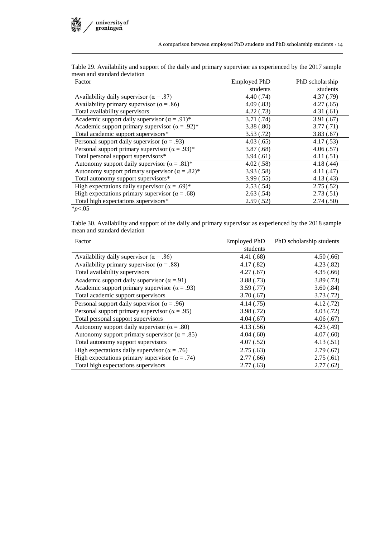| Factor                                                  | Employed PhD | PhD scholarship |
|---------------------------------------------------------|--------------|-----------------|
|                                                         | students     | students        |
| Availability daily supervisor ( $\alpha$ = .87)         | 4.40(.74)    | 4.37(0.79)      |
| Availability primary supervisor ( $\alpha$ = .86)       | 4.09(.83)    | 4.27(.65)       |
| Total availability supervisors                          | 4.22(0.73)   | 4.31(.61)       |
| Academic support daily supervisor $(\alpha = .91)^*$    | 3.71(.74)    | 3.91(.67)       |
| Academic support primary supervisor $(\alpha = .92)^*$  | 3.38(.80)    | 3.77(0.71)      |
| Total academic support supervisors*                     | 3.53(.72)    | 3.83(.67)       |
| Personal support daily supervisor ( $\alpha$ = .93)     | 4.03(.65)    | 4.17(.53)       |
| Personal support primary supervisor ( $\alpha = .93$ )* | 3.87(.68)    | 4.06(.57)       |
| Total personal support supervisors*                     | 3.94(.61)    | 4.11(.51)       |
| Autonomy support daily supervisor $(\alpha = .81)^*$    | 4.02(.58)    | 4.18(.44)       |
| Autonomy support primary supervisor $(\alpha = .82)^*$  | 3.93(.58)    | 4.11(.47)       |
| Total autonomy support supervisors*                     | 3.99(.55)    | 4.13(0.43)      |
| High expectations daily supervisor ( $\alpha = .69$ )*  | 2.53(.54)    | 2.75(.52)       |
| High expectations primary supervisor ( $\alpha = .68$ ) | 2.63(.54)    | 2.73(.51)       |
| Total high expectations supervisors*                    | 2.59(.52)    | 2.74(.50)       |
| $*_{p<.05}$                                             |              |                 |

Table 29. Availability and support of the daily and primary supervisor as experienced by the 2017 sample mean and standard deviation

Table 30. Availability and support of the daily and primary supervisor as experienced by the 2018 sample mean and standard deviation

| Factor                                                 | <b>Employed PhD</b> | PhD scholarship students |
|--------------------------------------------------------|---------------------|--------------------------|
|                                                        | students            |                          |
| Availability daily supervisor ( $\alpha$ = .86)        | 4.41 (.68)          | 4.50(.66)                |
| Availability primary supervisor ( $\alpha$ = .88)      | 4.17(.82)           | 4.23(.82)                |
| Total availability supervisors                         | 4.27(.67)           | 4.35(.66)                |
| Academic support daily supervisor ( $\alpha = .91$ )   | 3.88(.73)           | 3.89(.73)                |
| Academic support primary supervisor ( $\alpha = .93$ ) | 3.59(.77)           | 3.60(.84)                |
| Total academic support supervisors                     | 3.70(.67)           | 3.73(.72)                |
| Personal support daily supervisor ( $\alpha$ = .96)    | 4.14(0.75)          | 4.12(.72)                |
| Personal support primary supervisor ( $\alpha = .95$ ) | 3.98(.72)           | 4.03(0.72)               |
| Total personal support supervisors                     | 4.04(.67)           | 4.06(.67)                |
| Autonomy support daily supervisor ( $\alpha = .80$ )   | 4.13(.56)           | 4.23(0.49)               |
| Autonomy support primary supervisor ( $\alpha = .85$ ) | 4.04(.60)           | 4.07(.60)                |
| Total autonomy support supervisors                     | 4.07(.52)           | 4.13(.51)                |
| High expectations daily supervisor ( $\alpha = .76$ )  | 2.75(.63)           | 2.79(.67)                |
| High expectations primary supervisor ( $\alpha$ = .74) | 2.77(0.66)          | 2.75(.61)                |
| Total high expectations supervisors                    | 2.77(0.63)          | 2.77(.62)                |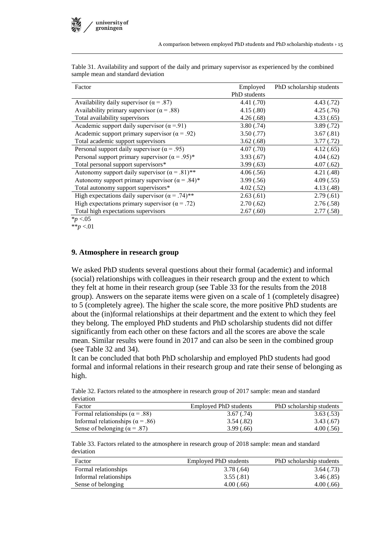| Factor                                                             | Employed     | PhD scholarship students |
|--------------------------------------------------------------------|--------------|--------------------------|
|                                                                    | PhD students |                          |
| Availability daily supervisor ( $\alpha$ = .87)                    | 4.41(.70)    | 4.43(.72)                |
| Availability primary supervisor ( $\alpha$ = .88)                  | 4.15(.80)    | 4.25(.76)                |
| Total availability supervisors                                     | 4.26(.68)    | 4.33(.65)                |
| Academic support daily supervisor ( $\alpha$ = 91)                 | 3.80(.74)    | 3.89(.72)                |
| Academic support primary supervisor ( $\alpha$ = .92)              | 3.50(.77)    | 3.67(.81)                |
| Total academic support supervisors                                 | 3.62(.68)    | 3.77(.72)                |
| Personal support daily supervisor ( $\alpha$ = .95)                | 4.07(.70)    | 4.12(.65)                |
| Personal support primary supervisor ( $\alpha$ = .95) <sup>*</sup> | 3.93(.67)    | 4.04(.62)                |
| Total personal support supervisors*                                | 3.99(.63)    | 4.07(.62)                |
| Autonomy support daily supervisor $(\alpha = .81)$ **              | 4.06(.56)    | 4.21(.48)                |
| Autonomy support primary supervisor $(\alpha = .84)^*$             | 3.99(.56)    | 4.09(.55)                |
| Total autonomy support supervisors*                                | 4.02(.52)    | 4.13(0.48)               |
| High expectations daily supervisor $(\alpha = .74)$ **             | 2.63(.61)    | 2.79(0.61)               |
| High expectations primary supervisor ( $\alpha$ = .72)             | 2.70(.62)    | 2.76(.58)                |
| Total high expectations supervisors                                | 2.67(.60)    | 2.77(.58)                |
| $\lambda_{\rm max} > 0.5$                                          |              |                          |

Table 31. Availability and support of the daily and primary supervisor as experienced by the combined sample mean and standard deviation

\**p* <.05 \*\**p* <.01

#### **9. Atmosphere in research group**

We asked PhD students several questions about their formal (academic) and informal (social) relationships with colleagues in their research group and the extent to which they felt at home in their research group (see Table 33 for the results from the 2018 group). Answers on the separate items were given on a scale of 1 (completely disagree) to 5 (completely agree). The higher the scale score, the more positive PhD students are about the (in)formal relationships at their department and the extent to which they feel they belong. The employed PhD students and PhD scholarship students did not differ significantly from each other on these factors and all the scores are above the scale mean. Similar results were found in 2017 and can also be seen in the combined group (see Table 32 and 34).

It can be concluded that both PhD scholarship and employed PhD students had good formal and informal relations in their research group and rate their sense of belonging as high.

Table 32. Factors related to the atmosphere in research group of 2017 sample: mean and standard deviation

| Factor                                   | Employed PhD students | PhD scholarship students |
|------------------------------------------|-----------------------|--------------------------|
| Formal relationships ( $\alpha$ = .88)   | 3.67(.74)             | 3.63(.53)                |
| Informal relationships ( $\alpha$ = .86) | 3.54(.82)             | 3.43(.67)                |
| Sense of belonging ( $\alpha$ = .87)     | 3.99(.66)             | 4.00(.56)                |

Table 33. Factors related to the atmosphere in research group of 2018 sample: mean and standard deviation

| Factor                 | Employed PhD students | PhD scholarship students |
|------------------------|-----------------------|--------------------------|
| Formal relationships   | 3.78(.64)             | 3.64(0.73)               |
| Informal relationships | 3.55(.81)             | 3.46 (.85)               |
| Sense of belonging     | 4.00(.66)             | 4.00(.66)                |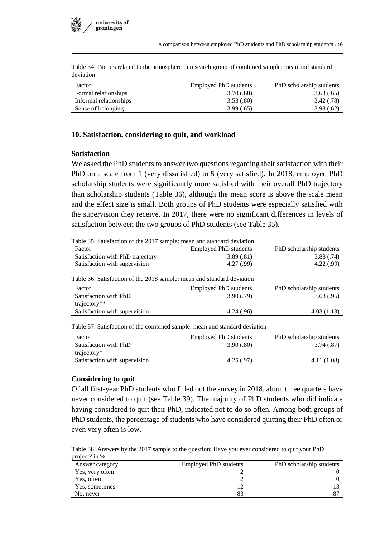

Table 34. Factors related to the atmosphere in research group of combined sample: mean and standard deviation

| Factor                 | Employed PhD students | PhD scholarship students |
|------------------------|-----------------------|--------------------------|
| Formal relationships   | 3.70(.68)             | 3.63(.65)                |
| Informal relationships | 3.53(.80)             | 3.42 (.78)               |
| Sense of belonging     | 3.99(.65)             | 3.98(.62)                |

#### **10. Satisfaction, considering to quit, and workload**

#### **Satisfaction**

We asked the PhD students to answer two questions regarding their satisfaction with their PhD on a scale from 1 (very dissatisfied) to 5 (very satisfied). In 2018, employed PhD scholarship students were significantly more satisfied with their overall PhD trajectory than scholarship students (Table 36), although the mean score is above the scale mean and the effect size is small. Both groups of PhD students were especially satisfied with the supervision they receive. In 2017, there were no significant differences in levels of satisfaction between the two groups of PhD students (see Table 35).

Table 35. Satisfaction of the 2017 sample: mean and standard deviation

| Factor                                                                     | <b>Employed PhD students</b> | PhD scholarship students |
|----------------------------------------------------------------------------|------------------------------|--------------------------|
| Satisfaction with PhD trajectory                                           | 3.89(.81)                    | 3.88(.74)                |
| Satisfaction with supervision                                              | 4.27(.99)                    | 4.22(.99)                |
| Table 36. Satisfaction of the 2018 sample: mean and standard deviation     |                              |                          |
| Factor                                                                     | Employed PhD students        | PhD scholarship students |
| Satisfaction with PhD                                                      | 3.90(.79)                    | 3.63(.95)                |
| trajectory**                                                               |                              |                          |
| Satisfaction with supervision                                              | 4.24(.96)                    | 4.03(1.13)               |
| Table 37. Satisfaction of the combined sample: mean and standard deviation |                              |                          |
| Factor                                                                     | Employed PhD students        | PhD scholarship students |
| Satisfaction with PhD                                                      | 3.90(.80)                    | 3.74(.87)                |
| trajectory*                                                                |                              |                          |
| Satisfaction with supervision                                              | 4.25(.97)                    | 4.11(1.08)               |

#### **Considering to quit**

Of all first-year PhD students who filled out the survey in 2018, about three quarters have never considered to quit (see Table 39). The majority of PhD students who did indicate having considered to quit their PhD, indicated not to do so often. Among both groups of PhD students, the percentage of students who have considered quitting their PhD often or even very often is low.

Table 38. Answers by the 2017 sample to the question: Have you ever considered to quit your PhD project? in %

| Answer category | Employed PhD students | PhD scholarship students |
|-----------------|-----------------------|--------------------------|
| Yes, very often |                       |                          |
| Yes, often      |                       |                          |
| Yes, sometimes  |                       |                          |
| No, never       | 83                    |                          |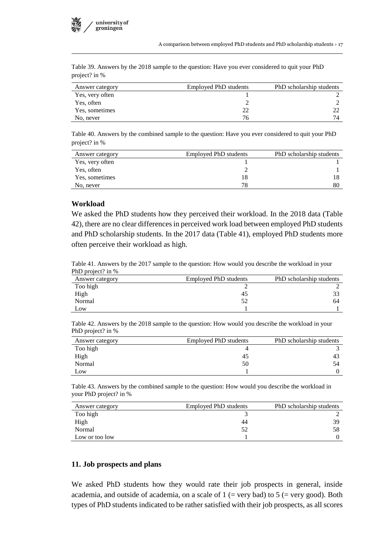|               |  | Table 39. Answers by the 2018 sample to the question: Have you ever considered to quit your PhD |  |  |  |
|---------------|--|-------------------------------------------------------------------------------------------------|--|--|--|
| project? in % |  |                                                                                                 |  |  |  |

| Answer category | <b>Employed PhD students</b> | PhD scholarship students |
|-----------------|------------------------------|--------------------------|
| Yes, very often |                              |                          |
| Yes, often      |                              |                          |
| Yes, sometimes  |                              |                          |
| No, never       | 76                           |                          |

Table 40. Answers by the combined sample to the question: Have you ever considered to quit your PhD project? in %

| Answer category | <b>Employed PhD students</b> | PhD scholarship students |
|-----------------|------------------------------|--------------------------|
| Yes, very often |                              |                          |
| Yes, often      |                              |                          |
| Yes, sometimes  | 18                           |                          |
| No, never       | 78                           | 80                       |

#### **Workload**

We asked the PhD students how they perceived their workload. In the 2018 data (Table 42), there are no clear differences in perceived work load between employed PhD students and PhD scholarship students. In the 2017 data (Table 41), employed PhD students more often perceive their workload as high.

Table 41. Answers by the 2017 sample to the question: How would you describe the workload in your PhD project? in %

| Answer category | <b>Employed PhD students</b> | PhD scholarship students |
|-----------------|------------------------------|--------------------------|
| Too high        |                              |                          |
| High            | 45                           |                          |
| Normal          |                              | 64                       |
| Low             |                              |                          |

Table 42. Answers by the 2018 sample to the question: How would you describe the workload in your PhD project? in %

| Answer category | Employed PhD students | PhD scholarship students |
|-----------------|-----------------------|--------------------------|
| Too high        |                       |                          |
| High            | 45                    | 43                       |
| Normal          | 50                    | 54                       |
| Low             |                       |                          |

Table 43. Answers by the combined sample to the question: How would you describe the workload in your PhD project? in %

| Answer category | <b>Employed PhD students</b> | PhD scholarship students |
|-----------------|------------------------------|--------------------------|
| Too high        |                              |                          |
| High            | 44                           | 39                       |
| Normal          | 52                           | 58                       |
| Low or too low  |                              |                          |

#### **11. Job prospects and plans**

We asked PhD students how they would rate their job prospects in general, inside academia, and outside of academia, on a scale of  $1$  (= very bad) to  $5$  (= very good). Both types of PhD students indicated to be rather satisfied with their job prospects, as all scores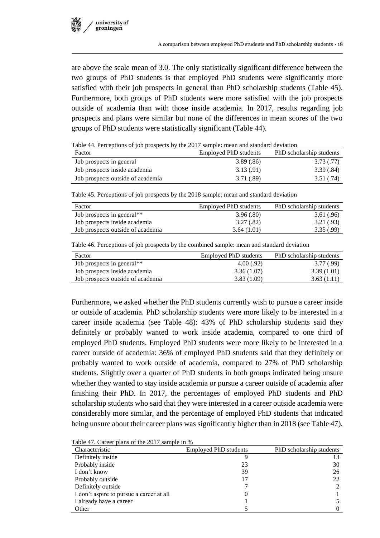are above the scale mean of 3.0. The only statistically significant difference between the two groups of PhD students is that employed PhD students were significantly more satisfied with their job prospects in general than PhD scholarship students (Table 45). Furthermore, both groups of PhD students were more satisfied with the job prospects outside of academia than with those inside academia. In 2017, results regarding job prospects and plans were similar but none of the differences in mean scores of the two groups of PhD students were statistically significant (Table 44).

Table 44. Perceptions of job prospects by the 2017 sample: mean and standard deviation

| Factor                            | Employed PhD students | PhD scholarship students |
|-----------------------------------|-----------------------|--------------------------|
| Job prospects in general          | 3.89(.86)             | 3.73(0.77)               |
| Job prospects inside academia     | 3.13 (.91)            | 3.39(.84)                |
| Job prospects outside of academia | 3.71 (.89)            | 3.51 (.74)               |

Table 45. Perceptions of job prospects by the 2018 sample: mean and standard deviation

| Factor                            | Employed PhD students | PhD scholarship students |
|-----------------------------------|-----------------------|--------------------------|
| Job prospects in general**        | 3.96(.80)             | 3.61(.96)                |
| Job prospects inside academia     | 3.27 (.82)            | 3.21(.93)                |
| Job prospects outside of academia | 3.64(1.01)            | 3.35(.99)                |

Table 46. Perceptions of job prospects by the combined sample: mean and standard deviation

| Factor                            | Employed PhD students | PhD scholarship students |
|-----------------------------------|-----------------------|--------------------------|
| Job prospects in general**        | 4.00(0.92)            | 3.77 (.99)               |
| Job prospects inside academia     | 3.36(1.07)            | 3.39(1.01)               |
| Job prospects outside of academia | 3.83(1.09)            | 3.63(1.11)               |

Furthermore, we asked whether the PhD students currently wish to pursue a career inside or outside of academia. PhD scholarship students were more likely to be interested in a career inside academia (see Table 48): 43% of PhD scholarship students said they definitely or probably wanted to work inside academia, compared to one third of employed PhD students. Employed PhD students were more likely to be interested in a career outside of academia: 36% of employed PhD students said that they definitely or probably wanted to work outside of academia, compared to 27% of PhD scholarship students. Slightly over a quarter of PhD students in both groups indicated being unsure whether they wanted to stay inside academia or pursue a career outside of academia after finishing their PhD. In 2017, the percentages of employed PhD students and PhD scholarship students who said that they were interested in a career outside academia were considerably more similar, and the percentage of employed PhD students that indicated being unsure about their career plans was significantly higher than in 2018 (see Table 47).

|  |  |  |  |  | Table 47. Career plans of the 2017 sample in % |  |
|--|--|--|--|--|------------------------------------------------|--|
|--|--|--|--|--|------------------------------------------------|--|

| Characteristic                           | <b>Employed PhD students</b> | PhD scholarship students |
|------------------------------------------|------------------------------|--------------------------|
| Definitely inside                        |                              |                          |
| Probably inside                          | 23                           | 30                       |
| I don't know                             | 39                           | 26                       |
| Probably outside                         | 17                           | 22                       |
| Definitely outside                       |                              |                          |
| I don't aspire to pursue a career at all | O                            |                          |
| I already have a career                  |                              |                          |
| Other                                    |                              |                          |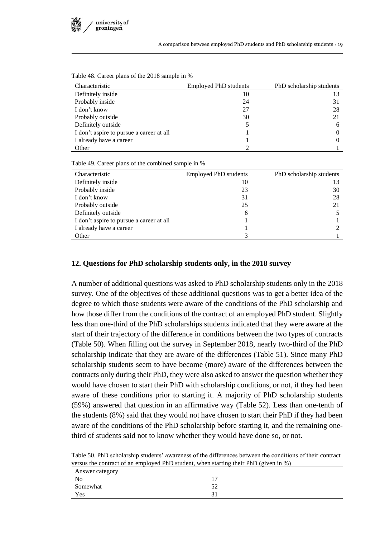

| Twist To: Career plans of the 2010 sample in 70 |                              |                          |  |  |  |
|-------------------------------------------------|------------------------------|--------------------------|--|--|--|
| Characteristic                                  | <b>Employed PhD students</b> | PhD scholarship students |  |  |  |
| Definitely inside                               | 10                           | 13                       |  |  |  |
| Probably inside                                 | 24                           | 31                       |  |  |  |
| I don't know                                    | 27                           | 28                       |  |  |  |
| Probably outside                                | 30                           | 21                       |  |  |  |
| Definitely outside                              |                              | 6                        |  |  |  |
| I don't aspire to pursue a career at all        |                              | 0                        |  |  |  |
| I already have a career                         |                              | $\Omega$                 |  |  |  |
| Other                                           |                              |                          |  |  |  |

Table 48. Career plans of the 2018 sample in %

Table 49. Career plans of the combined sample in %

| Characteristic                           | Employed PhD students | PhD scholarship students |
|------------------------------------------|-----------------------|--------------------------|
| Definitely inside                        | 10                    |                          |
| Probably inside                          | 23                    | 30                       |
| I don't know                             | 31                    | 28                       |
| Probably outside                         | 25                    | 21                       |
| Definitely outside                       | 6                     |                          |
| I don't aspire to pursue a career at all |                       |                          |
| I already have a career                  |                       |                          |
| Other                                    |                       |                          |
|                                          |                       |                          |

#### **12. Questions for PhD scholarship students only, in the 2018 survey**

A number of additional questions was asked to PhD scholarship students only in the 2018 survey. One of the objectives of these additional questions was to get a better idea of the degree to which those students were aware of the conditions of the PhD scholarship and how those differ from the conditions of the contract of an employed PhD student. Slightly less than one-third of the PhD scholarships students indicated that they were aware at the start of their trajectory of the difference in conditions between the two types of contracts (Table 50). When filling out the survey in September 2018, nearly two-third of the PhD scholarship indicate that they are aware of the differences (Table 51). Since many PhD scholarship students seem to have become (more) aware of the differences between the contracts only during their PhD, they were also asked to answer the question whether they would have chosen to start their PhD with scholarship conditions, or not, if they had been aware of these conditions prior to starting it. A majority of PhD scholarship students (59%) answered that question in an affirmative way (Table 52). Less than one-tenth of the students (8%) said that they would not have chosen to start their PhD if they had been aware of the conditions of the PhD scholarship before starting it, and the remaining onethird of students said not to know whether they would have done so, or not.

Table 50. PhD scholarship students' awareness of the differences between the conditions of their contract versus the contract of an employed PhD student, when starting their PhD (given in %)

| Answer category |  |
|-----------------|--|
| No              |  |
| Somewhat        |  |
| Yes             |  |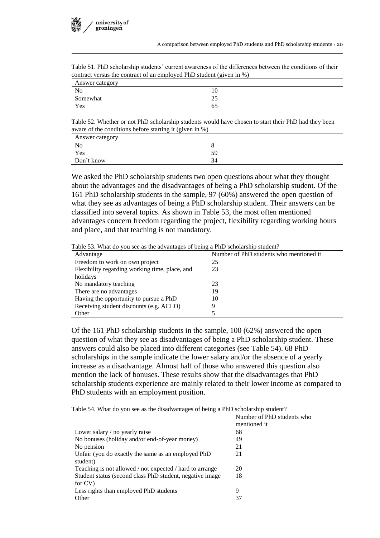| contract versus the contract of an employed PhD student (given in %) |    |  |
|----------------------------------------------------------------------|----|--|
| Answer category                                                      |    |  |
| N <sub>0</sub>                                                       |    |  |
| Somewhat                                                             | 25 |  |
| Yes                                                                  |    |  |

Table 51. PhD scholarship students' current awareness of the differences between the conditions of their

Table 52. Whether or not PhD scholarship students would have chosen to start their PhD had they been aware of the conditions before starting it (given in %)

| Answer category<br>the control of the control of the control of |    |
|-----------------------------------------------------------------|----|
| N <sub>0</sub>                                                  |    |
| Yes                                                             | 59 |
| Don't know                                                      | 34 |

We asked the PhD scholarship students two open questions about what they thought about the advantages and the disadvantages of being a PhD scholarship student. Of the 161 PhD scholarship students in the sample, 97 (60%) answered the open question of what they see as advantages of being a PhD scholarship student. Their answers can be classified into several topics. As shown in Table 53, the most often mentioned advantages concern freedom regarding the project, flexibility regarding working hours and place, and that teaching is not mandatory.

Table 53. What do you see as the advantages of being a PhD scholarship student?

| Advantage                                      | Number of PhD students who mentioned it |
|------------------------------------------------|-----------------------------------------|
| Freedom to work on own project                 | 25                                      |
| Flexibility regarding working time, place, and | 23                                      |
| holidays                                       |                                         |
| No mandatory teaching                          | 23                                      |
| There are no advantages                        | 19                                      |
| Having the opportunity to pursue a PhD         | 10                                      |
| Receiving student discounts (e.g. ACLO)        |                                         |
| Other                                          |                                         |

Of the 161 PhD scholarship students in the sample, 100 (62%) answered the open question of what they see as disadvantages of being a PhD scholarship student. These answers could also be placed into different categories (see Table 54). 68 PhD scholarships in the sample indicate the lower salary and/or the absence of a yearly increase as a disadvantage. Almost half of those who answered this question also mention the lack of bonuses. These results show that the disadvantages that PhD scholarship students experience are mainly related to their lower income as compared to PhD students with an employment position.

Table 54. What do you see as the disadvantages of being a PhD scholarship student?

|                                                          | Number of PhD students who |
|----------------------------------------------------------|----------------------------|
|                                                          | mentioned it               |
| Lower salary / no yearly raise                           | 68                         |
| No bonuses (holiday and/or end-of-year money)            | 49                         |
| No pension                                               | 21                         |
| Unfair (you do exactly the same as an employed PhD       | 21                         |
| student)                                                 |                            |
| Teaching is not allowed / not expected / hard to arrange | 20                         |
| Student status (second class PhD student, negative image | 18                         |
| for CV)                                                  |                            |
| Less rights than employed PhD students                   | 9                          |
| Other                                                    | 37                         |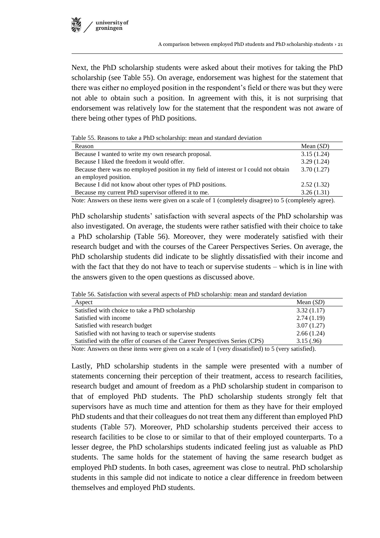

Next, the PhD scholarship students were asked about their motives for taking the PhD scholarship (see Table 55). On average, endorsement was highest for the statement that there was either no employed position in the respondent's field or there was but they were not able to obtain such a position. In agreement with this, it is not surprising that endorsement was relatively low for the statement that the respondent was not aware of there being other types of PhD positions.

Table 55. Reasons to take a PhD scholarship: mean and standard deviation

| Reason                                                                                                                                                                                                                                                                                                 | Mean $(SD)$                 |
|--------------------------------------------------------------------------------------------------------------------------------------------------------------------------------------------------------------------------------------------------------------------------------------------------------|-----------------------------|
| Because I wanted to write my own research proposal.                                                                                                                                                                                                                                                    | 3.15(1.24)                  |
| Because I liked the freedom it would offer.                                                                                                                                                                                                                                                            | 3.29(1.24)                  |
| Because there was no employed position in my field of interest or I could not obtain                                                                                                                                                                                                                   | 3.70(1.27)                  |
| an employed position.                                                                                                                                                                                                                                                                                  |                             |
| Because I did not know about other types of PhD positions.                                                                                                                                                                                                                                             | 2.52(1.32)                  |
| Because my current PhD supervisor offered it to me.                                                                                                                                                                                                                                                    | 3.26(1.31)                  |
| $\sim$ $\sim$ $\sim$ $\sim$<br>$\sim$ $\sim$ $\sim$ $\sim$ $\sim$<br>$\mathbf{v}$ , and the contract of the contract of the contract of the contract of the contract of the contract of the contract of the contract of the contract of the contract of the contract of the contract of the contract o | $\sim$ $\sim$ $\sim$ $\sim$ |

Note: Answers on these items were given on a scale of 1 (completely disagree) to 5 (completely agree).

PhD scholarship students' satisfaction with several aspects of the PhD scholarship was also investigated. On average, the students were rather satisfied with their choice to take a PhD scholarship (Table 56). Moreover, they were moderately satisfied with their research budget and with the courses of the Career Perspectives Series. On average, the PhD scholarship students did indicate to be slightly dissatisfied with their income and with the fact that they do not have to teach or supervise students – which is in line with the answers given to the open questions as discussed above.

Table 56. Satisfaction with several aspects of PhD scholarship: mean and standard deviation

| Aspect                                                                                                                                                                                                                                                                                                    | Mean $(SD)$ |
|-----------------------------------------------------------------------------------------------------------------------------------------------------------------------------------------------------------------------------------------------------------------------------------------------------------|-------------|
| Satisfied with choice to take a PhD scholarship                                                                                                                                                                                                                                                           | 3.32(1.17)  |
| Satisfied with income                                                                                                                                                                                                                                                                                     | 2.74(1.19)  |
| Satisfied with research budget                                                                                                                                                                                                                                                                            | 3.07(1.27)  |
| Satisfied with not having to teach or supervise students                                                                                                                                                                                                                                                  | 2.66(1.24)  |
| Satisfied with the offer of courses of the Career Perspectives Series (CPS)                                                                                                                                                                                                                               | 3.15(.96)   |
| $\mathbf{M}$ , and the set of $\mathbf{M}$ , $\mathbf{M}$ , $\mathbf{M}$ , $\mathbf{M}$ , $\mathbf{M}$ , $\mathbf{M}$ , $\mathbf{M}$ , $\mathbf{M}$ , $\mathbf{M}$ , $\mathbf{M}$ , $\mathbf{M}$ , $\mathbf{M}$ , $\mathbf{M}$ , $\mathbf{M}$ , $\mathbf{M}$ , $\mathbf{M}$ , $\mathbf{M}$ , $\mathbf{M}$ |             |

Note: Answers on these items were given on a scale of 1 (very dissatisfied) to 5 (very satisfied).

Lastly, PhD scholarship students in the sample were presented with a number of statements concerning their perception of their treatment, access to research facilities, research budget and amount of freedom as a PhD scholarship student in comparison to that of employed PhD students. The PhD scholarship students strongly felt that supervisors have as much time and attention for them as they have for their employed PhD students and that their colleagues do not treat them any different than employed PhD students (Table 57). Moreover, PhD scholarship students perceived their access to research facilities to be close to or similar to that of their employed counterparts. To a lesser degree, the PhD scholarships students indicated feeling just as valuable as PhD students. The same holds for the statement of having the same research budget as employed PhD students. In both cases, agreement was close to neutral. PhD scholarship students in this sample did not indicate to notice a clear difference in freedom between themselves and employed PhD students.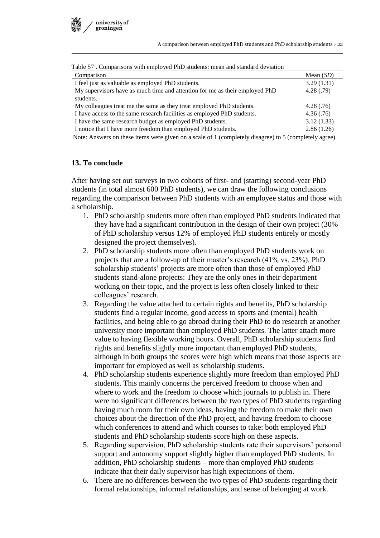

| Table 37. Comparisons with employed Fill students. mean and standard deviation |             |
|--------------------------------------------------------------------------------|-------------|
| Comparison                                                                     | Mean $(SD)$ |
| I feel just as valuable as employed PhD students.                              | 3.29(1.31)  |
| My supervisors have as much time and attention for me as their employed PhD    | 4.28(.79)   |
| students.                                                                      |             |
| My colleagues treat me the same as they treat employed PhD students.           | 4.28(.76)   |
| I have access to the same research facilities as employed PhD students.        | 4.36(.76)   |
| I have the same research budget as employed PhD students.                      | 3.12(1.33)  |
| I notice that I have more freedom than employed PhD students.                  | 2.86(1.26)  |

 $T_{\rm c}$   $11.57$  . Comparisons with employed PhD students: mean and standard deviation

Note: Answers on these items were given on a scale of 1 (completely disagree) to 5 (completely agree).

#### **13. To conclude**

After having set out surveys in two cohorts of first- and (starting) second-year PhD students (in total almost 600 PhD students), we can draw the following conclusions regarding the comparison between PhD students with an employee status and those with a scholarship.

- 1. PhD scholarship students more often than employed PhD students indicated that they have had a significant contribution in the design of their own project (30% of PhD scholarship versus 12% of employed PhD students entirely or mostly designed the project themselves).
- 2. PhD scholarship students more often than employed PhD students work on projects that are a follow-up of their master's research (41% vs. 23%). PhD scholarship students' projects are more often than those of employed PhD students stand-alone projects: They are the only ones in their department working on their topic, and the project is less often closely linked to their colleagues' research.
- 3. Regarding the value attached to certain rights and benefits, PhD scholarship students find a regular income, good access to sports and (mental) health facilities, and being able to go abroad during their PhD to do research at another university more important than employed PhD students. The latter attach more value to having flexible working hours. Overall, PhD scholarship students find rights and benefits slightly more important than employed PhD students, although in both groups the scores were high which means that those aspects are important for employed as well as scholarship students.
- 4. PhD scholarship students experience slightly more freedom than employed PhD students. This mainly concerns the perceived freedom to choose when and where to work and the freedom to choose which journals to publish in. There were no significant differences between the two types of PhD students regarding having much room for their own ideas, having the freedom to make their own choices about the direction of the PhD project, and having freedom to choose which conferences to attend and which courses to take: both employed PhD students and PhD scholarship students score high on these aspects.
- 5. Regarding supervision, PhD scholarship students rate their supervisors' personal support and autonomy support slightly higher than employed PhD students. In addition, PhD scholarship students – more than employed PhD students – indicate that their daily supervisor has high expectations of them.
- 6. There are no differences between the two types of PhD students regarding their formal relationships, informal relationships, and sense of belonging at work.